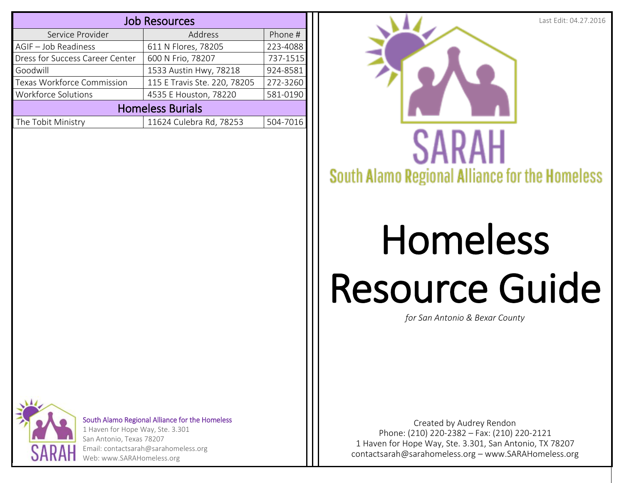| <b>Job Resources</b>            |                              |          |  |  |
|---------------------------------|------------------------------|----------|--|--|
| Service Provider                | Address                      | Phone #  |  |  |
| AGIF - Job Readiness            | 611 N Flores, 78205          | 223-4088 |  |  |
| Dress for Success Career Center | 600 N Frio, 78207            | 737-1515 |  |  |
| Goodwill                        | 1533 Austin Hwy, 78218       | 924-8581 |  |  |
| Texas Workforce Commission      | 115 E Travis Ste. 220, 78205 | 272-3260 |  |  |
| <b>Workforce Solutions</b>      | 4535 E Houston, 78220        | 581-0190 |  |  |
| <b>Homeless Burials</b>         |                              |          |  |  |
| The Tobit Ministry              | 11624 Culebra Rd, 78253      | 504-7016 |  |  |



## Homeless Resource Guide

*for San Antonio & Bexar County*



South Alamo Regional Alliance for the Homeless

1 Haven for Hope Way, Ste. 3.301 San Antonio, Texas 78207 Email: contactsarah@sarahomeless.org Web: www.SARAHomeless.org

Phone: (210) 220-2382 – Fax: (210) 220-2121 1 Haven for Hope Way, Ste. 3.301, San Antonio, TX 78207 [contactsarah@sarahomeless.org](mailto:contactsarah@sarahomeless.org) – [www.SARAHomeless.org](http://www.sarahomeless.org/) Created by Audrey Rendon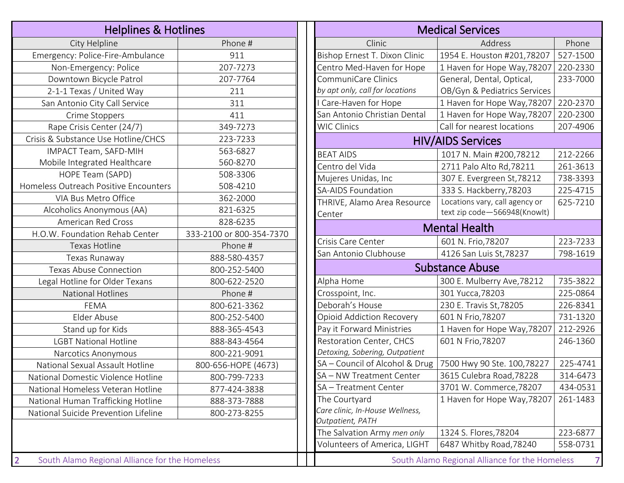| <b>Helplines &amp; Hotlines</b>                                  |                          |  |                  |  |
|------------------------------------------------------------------|--------------------------|--|------------------|--|
| City Helpline                                                    | Phone #                  |  |                  |  |
| Emergency: Police-Fire-Ambulance                                 | 911                      |  | Bish             |  |
| Non-Emergency: Police                                            | 207-7273                 |  | Cen              |  |
| Downtown Bicycle Patrol                                          | 207-7764                 |  | Con              |  |
| 2-1-1 Texas / United Way                                         | 211                      |  | by a             |  |
| San Antonio City Call Service                                    | 311                      |  | I Ca             |  |
| Crime Stoppers                                                   | 411                      |  | San              |  |
| Rape Crisis Center (24/7)                                        | 349-7273                 |  | <b>WIC</b>       |  |
| Crisis & Substance Use Hotline/CHCS                              | 223-7233                 |  |                  |  |
| IMPACT Team, SAFD-MIH                                            | 563-6827                 |  | <b>BEA</b>       |  |
| Mobile Integrated Healthcare                                     | 560-8270                 |  | Cen              |  |
| HOPE Team (SAPD)                                                 | 508-3306                 |  | Muj              |  |
| Homeless Outreach Positive Encounters                            | 508-4210                 |  | $SA-$            |  |
| VIA Bus Metro Office                                             | 362-2000                 |  | <b>THR</b>       |  |
| Alcoholics Anonymous (AA)                                        | 821-6325                 |  | Cen              |  |
| <b>American Red Cross</b>                                        | 828-6235                 |  |                  |  |
| H.O.W. Foundation Rehab Center                                   | 333-2100 or 800-354-7370 |  |                  |  |
| <b>Texas Hotline</b>                                             | Phone #                  |  | Cris             |  |
| Texas Runaway                                                    | 888-580-4357             |  | San              |  |
| <b>Texas Abuse Connection</b>                                    | 800-252-5400             |  |                  |  |
| Legal Hotline for Older Texans                                   | 800-622-2520             |  | Alpl             |  |
| <b>National Hotlines</b>                                         | Phone #                  |  | Cro:             |  |
| <b>FEMA</b>                                                      | 800-621-3362             |  | Deb              |  |
| Elder Abuse                                                      | 800-252-5400             |  | Opi              |  |
| Stand up for Kids                                                | 888-365-4543             |  | Pay              |  |
| <b>LGBT National Hotline</b>                                     | 888-843-4564             |  | Res <sup>-</sup> |  |
| Narcotics Anonymous                                              | 800-221-9091             |  | Deto             |  |
| National Sexual Assault Hotline                                  | 800-656-HOPE (4673)      |  | $SA -$           |  |
| National Domestic Violence Hotline                               | 800-799-7233             |  | $SA -$           |  |
| National Homeless Veteran Hotline                                | 877-424-3838             |  | $SA -$           |  |
| National Human Trafficking Hotline                               | 888-373-7888             |  | The              |  |
| National Suicide Prevention Lifeline                             | 800-273-8255             |  | Care             |  |
|                                                                  |                          |  | Outŗ             |  |
|                                                                  |                          |  | The              |  |
|                                                                  |                          |  | Volı             |  |
| $\overline{2}$<br>South Alamo Regional Alliance for the Homeless |                          |  |                  |  |

| <b>Medical Services</b>                        |                                |          |  |  |  |  |
|------------------------------------------------|--------------------------------|----------|--|--|--|--|
| Clinic                                         | Address                        | Phone    |  |  |  |  |
| Bishop Ernest T. Dixon Clinic                  | 1954 E. Houston #201,78207     | 527-1500 |  |  |  |  |
| Centro Med-Haven for Hope                      | 1 Haven for Hope Way, 78207    | 220-2330 |  |  |  |  |
| <b>CommuniCare Clinics</b>                     | General, Dental, Optical,      | 233-7000 |  |  |  |  |
| by apt only, call for locations                | OB/Gyn & Pediatrics Services   |          |  |  |  |  |
| I Care-Haven for Hope                          | 1 Haven for Hope Way, 78207    | 220-2370 |  |  |  |  |
| San Antonio Christian Dental                   | 1 Haven for Hope Way, 78207    | 220-2300 |  |  |  |  |
| <b>WIC Clinics</b>                             | Call for nearest locations     | 207-4906 |  |  |  |  |
|                                                | <b>HIV/AIDS Services</b>       |          |  |  |  |  |
| <b>BEAT AIDS</b>                               | 1017 N. Main #200,78212        | 212-2266 |  |  |  |  |
| Centro del Vida                                | 2711 Palo Alto Rd, 78211       | 261-3613 |  |  |  |  |
| Mujeres Unidas, Inc                            | 307 E. Evergreen St, 78212     | 738-3393 |  |  |  |  |
| <b>SA-AIDS Foundation</b>                      | 333 S. Hackberry, 78203        | 225-4715 |  |  |  |  |
| THRIVE, Alamo Area Resource                    | Locations vary, call agency or | 625-7210 |  |  |  |  |
| Center                                         | text zip code-566948(Knowlt)   |          |  |  |  |  |
| <b>Mental Health</b>                           |                                |          |  |  |  |  |
| Crisis Care Center                             | 601 N. Frio, 78207             | 223-7233 |  |  |  |  |
| San Antonio Clubhouse                          | 4126 San Luis St, 78237        | 798-1619 |  |  |  |  |
|                                                | <b>Substance Abuse</b>         |          |  |  |  |  |
| Alpha Home                                     | 300 E. Mulberry Ave, 78212     | 735-3822 |  |  |  |  |
| Crosspoint, Inc.                               | 301 Yucca, 78203               | 225-0864 |  |  |  |  |
| Deborah's House                                | 230 E. Travis St, 78205        | 226-8341 |  |  |  |  |
| <b>Opioid Addiction Recovery</b>               | 601 N Frio, 78207              | 731-1320 |  |  |  |  |
| Pay it Forward Ministries                      | 1 Haven for Hope Way, 78207    | 212-2926 |  |  |  |  |
| Restoration Center, CHCS                       | 601 N Frio, 78207              | 246-1360 |  |  |  |  |
| Detoxing, Sobering, Outpatient                 |                                |          |  |  |  |  |
| SA - Council of Alcohol & Drug                 | 7500 Hwy 90 Ste. 100,78227     | 225-4741 |  |  |  |  |
| SA - NW Treatment Center                       | 3615 Culebra Road, 78228       | 314-6473 |  |  |  |  |
| SA-Treatment Center                            | 3701 W. Commerce, 78207        | 434-0531 |  |  |  |  |
| The Courtyard                                  | 1 Haven for Hope Way, 78207    | 261-1483 |  |  |  |  |
| Care clinic, In-House Wellness,                |                                |          |  |  |  |  |
| Outpatient, PATH                               |                                |          |  |  |  |  |
| The Salvation Army men only                    | 1324 S. Flores, 78204          | 223-6877 |  |  |  |  |
| Volunteers of America, LIGHT                   | 6487 Whitby Road, 78240        | 558-0731 |  |  |  |  |
| South Alamo Regional Alliance for the Homeless |                                |          |  |  |  |  |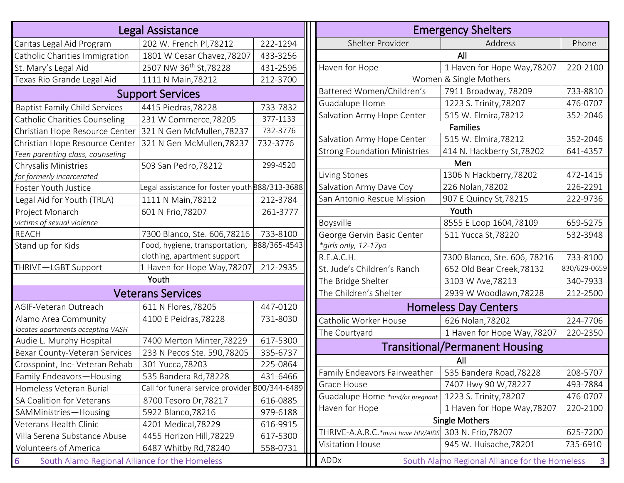|                                                     | <b>Legal Assistance</b>                        |              |                                                  |                                                        | <b>Emergency Shelters</b>                      |                |
|-----------------------------------------------------|------------------------------------------------|--------------|--------------------------------------------------|--------------------------------------------------------|------------------------------------------------|----------------|
| Caritas Legal Aid Program                           | 202 W. French Pl, 78212                        | 222-1294     |                                                  | Shelter Provider                                       | Address                                        | Phone          |
| Catholic Charities Immigration                      | 1801 W Cesar Chavez, 78207                     | 433-3256     |                                                  |                                                        | All                                            |                |
| St. Mary's Legal Aid                                | 2507 NW 36 <sup>th</sup> St, 78228             | 431-2596     |                                                  | Haven for Hope                                         | 1 Haven for Hope Way, 78207                    | 220-2100       |
| Texas Rio Grande Legal Aid                          | 1111 N Main, 78212                             | 212-3700     |                                                  |                                                        | Women & Single Mothers                         |                |
|                                                     | <b>Support Services</b>                        |              |                                                  | Battered Women/Children's                              | 7911 Broadway, 78209                           | 733-8810       |
| <b>Baptist Family Child Services</b>                | 4415 Piedras, 78228                            | 733-7832     |                                                  | Guadalupe Home                                         | 1223 S. Trinity, 78207                         | 476-0707       |
| Catholic Charities Counseling                       | 231 W Commerce, 78205                          | 377-1133     |                                                  | Salvation Army Hope Center                             | 515 W. Elmira, 78212                           | 352-2046       |
| Christian Hope Resource Center                      | 321 N Gen McMullen, 78237                      | 732-3776     |                                                  |                                                        | <b>Families</b>                                |                |
| Christian Hope Resource Center                      | 321 N Gen McMullen, 78237                      | 732-3776     |                                                  | Salvation Army Hope Center                             | 515 W. Elmira, 78212                           | 352-2046       |
| Teen parenting class, counseling                    |                                                |              |                                                  | <b>Strong Foundation Ministries</b>                    | 414 N. Hackberry St, 78202                     | 641-4357       |
| Chrysalis Ministries                                | 503 San Pedro, 78212                           | 299-4520     |                                                  |                                                        | Men                                            |                |
| for formerly incarcerated                           |                                                |              |                                                  | Living Stones                                          | 1306 N Hackberry, 78202                        | 472-1415       |
| Foster Youth Justice                                | Legal assistance for foster youth 888/313-3688 |              |                                                  | Salvation Army Dave Coy                                | 226 Nolan, 78202                               | 226-2291       |
| Legal Aid for Youth (TRLA)                          | 1111 N Main, 78212                             | 212-3784     |                                                  | San Antonio Rescue Mission                             | 907 E Quincy St, 78215                         | 222-9736       |
| Project Monarch                                     | 601 N Frio, 78207                              | 261-3777     |                                                  |                                                        | Youth                                          |                |
| victims of sexual violence                          |                                                |              |                                                  | Boysville                                              | 8555 E Loop 1604,78109                         | 659-5275       |
| <b>REACH</b>                                        | 7300 Blanco, Ste. 606,78216                    | 733-8100     |                                                  | George Gervin Basic Center                             | 511 Yucca St, 78220                            | 532-3948       |
| Stand up for Kids                                   | Food, hygiene, transportation,                 | 888/365-4543 |                                                  | *girls only, 12-17yo                                   |                                                |                |
|                                                     | clothing, apartment support                    |              |                                                  | R.E.A.C.H.                                             | 7300 Blanco, Ste. 606, 78216                   | 733-8100       |
| THRIVE-LGBT Support                                 | 1 Haven for Hope Way, 78207                    | 212-2935     |                                                  | St. Jude's Children's Ranch                            | 652 Old Bear Creek, 78132                      | 830/629-0659   |
|                                                     | Youth                                          |              |                                                  | The Bridge Shelter                                     | 3103 W Ave, 78213                              | 340-7933       |
|                                                     | <b>Veterans Services</b>                       |              | The Children's Shelter<br>2939 W Woodlawn, 78228 |                                                        |                                                | 212-2500       |
| AGIF-Veteran Outreach                               | 611 N Flores, 78205                            | 447-0120     |                                                  |                                                        | <b>Homeless Day Centers</b>                    |                |
| Alamo Area Community                                | 4100 E Peidras, 78228                          | 731-8030     |                                                  | Catholic Worker House                                  | 626 Nolan, 78202                               | 224-7706       |
| locates apartments accepting VASH                   |                                                |              |                                                  | The Courtyard                                          | 1 Haven for Hope Way, 78207                    | 220-2350       |
| Audie L. Murphy Hospital                            | 7400 Merton Minter, 78229                      | 617-5300     |                                                  |                                                        | <b>Transitional/Permanent Housing</b>          |                |
| Bexar County-Veteran Services                       | 233 N Pecos Ste. 590,78205                     | 335-6737     |                                                  |                                                        | All                                            |                |
| Crosspoint, Inc- Veteran Rehab                      | 301 Yucca, 78203                               | 225-0864     |                                                  |                                                        |                                                |                |
| Family Endeavors-Housing                            | 535 Bandera Rd, 78228                          | 431-6466     |                                                  | Family Endeavors Fairweather   535 Bandera Road, 78228 |                                                | 208-5707       |
| Homeless Veteran Burial                             | Call for funeral service provider 800/344-6489 |              |                                                  | Grace House                                            | 7407 Hwy 90 W, 78227                           | 493-7884       |
| SA Coalition for Veterans                           | 8700 Tesoro Dr, 78217                          | 616-0885     |                                                  | Guadalupe Home *and/or pregnant                        | 1223 S. Trinity, 78207                         | 476-0707       |
| SAMMinistries-Housing                               | 5922 Blanco, 78216                             | 979-6188     |                                                  | Haven for Hope                                         | 1 Haven for Hope Way, 78207                    | 220-2100       |
| Veterans Health Clinic                              | 4201 Medical, 78229                            | 616-9915     |                                                  |                                                        | <b>Single Mothers</b>                          |                |
| Villa Serena Substance Abuse                        | 4455 Horizon Hill, 78229                       | 617-5300     |                                                  | THRIVE-A.A.R.C.*must have HIV/AIDS                     | 303 N. Frio, 78207                             | 625-7200       |
| Volunteers of America                               | 6487 Whitby Rd, 78240                          | 558-0731     |                                                  | Visitation House                                       | 945 W. Huisache, 78201                         | 735-6910       |
| 6<br>South Alamo Regional Alliance for the Homeless |                                                |              |                                                  | ADDx                                                   | South Alamo Regional Alliance for the Homeless | $\overline{3}$ |

| <b>Emergency Shelters</b>             |                                                |              |  |  |  |  |
|---------------------------------------|------------------------------------------------|--------------|--|--|--|--|
| Shelter Provider                      | Address                                        | Phone        |  |  |  |  |
| All                                   |                                                |              |  |  |  |  |
| Haven for Hope                        | 1 Haven for Hope Way, 78207                    | 220-2100     |  |  |  |  |
| Women & Single Mothers                |                                                |              |  |  |  |  |
| Battered Women/Children's             | 7911 Broadway, 78209                           | 733-8810     |  |  |  |  |
| Guadalupe Home                        | 1223 S. Trinity, 78207                         | 476-0707     |  |  |  |  |
| Salvation Army Hope Center            | 515 W. Elmira, 78212                           | 352-2046     |  |  |  |  |
|                                       | <b>Families</b>                                |              |  |  |  |  |
| Salvation Army Hope Center            | 515 W. Elmira, 78212                           | 352-2046     |  |  |  |  |
| <b>Strong Foundation Ministries</b>   | 414 N. Hackberry St, 78202                     | 641-4357     |  |  |  |  |
|                                       | Men                                            |              |  |  |  |  |
| Living Stones                         | 1306 N Hackberry, 78202                        | 472-1415     |  |  |  |  |
| Salvation Army Dave Coy               | 226 Nolan, 78202                               | 226-2291     |  |  |  |  |
| San Antonio Rescue Mission            | 907 E Quincy St, 78215                         | 222-9736     |  |  |  |  |
|                                       | Youth                                          |              |  |  |  |  |
| Boysville                             | 8555 E Loop 1604,78109                         | 659-5275     |  |  |  |  |
| George Gervin Basic Center            | 511 Yucca St, 78220                            | 532-3948     |  |  |  |  |
| *girls only, 12-17yo                  |                                                |              |  |  |  |  |
| R.E.A.C.H.                            | 7300 Blanco, Ste. 606, 78216                   | 733-8100     |  |  |  |  |
| St. Jude's Children's Ranch           | 652 Old Bear Creek, 78132                      | 830/629-0659 |  |  |  |  |
| The Bridge Shelter                    | 3103 W Ave, 78213                              | 340-7933     |  |  |  |  |
| The Children's Shelter                | 2939 W Woodlawn, 78228                         | 212-2500     |  |  |  |  |
|                                       | <b>Homeless Day Centers</b>                    |              |  |  |  |  |
| Catholic Worker House                 | 626 Nolan, 78202                               | 224-7706     |  |  |  |  |
| The Courtyard                         | 1 Haven for Hope Way, 78207                    | 220-2350     |  |  |  |  |
| <b>Transitional/Permanent Housing</b> |                                                |              |  |  |  |  |
| All                                   |                                                |              |  |  |  |  |
| Family Endeavors Fairweather          | 535 Bandera Road, 78228                        | 208-5707     |  |  |  |  |
| Grace House                           | 7407 Hwy 90 W,78227                            | 493-7884     |  |  |  |  |
| Guadalupe Home *and/or pregnant       | 1223 S. Trinity, 78207                         | 476-0707     |  |  |  |  |
| Haven for Hope                        | 1 Haven for Hope Way, 78207                    | 220-2100     |  |  |  |  |
| <b>Single Mothers</b>                 |                                                |              |  |  |  |  |
| THRIVE-A.A.R.C.*must have HIV/AIDS    | 303 N. Frio, 78207                             | 625-7200     |  |  |  |  |
| <b>Visitation House</b>               | 945 W. Huisache, 78201                         | 735-6910     |  |  |  |  |
| ADDx                                  | South Alamo Regional Alliance for the Homeless | 3            |  |  |  |  |